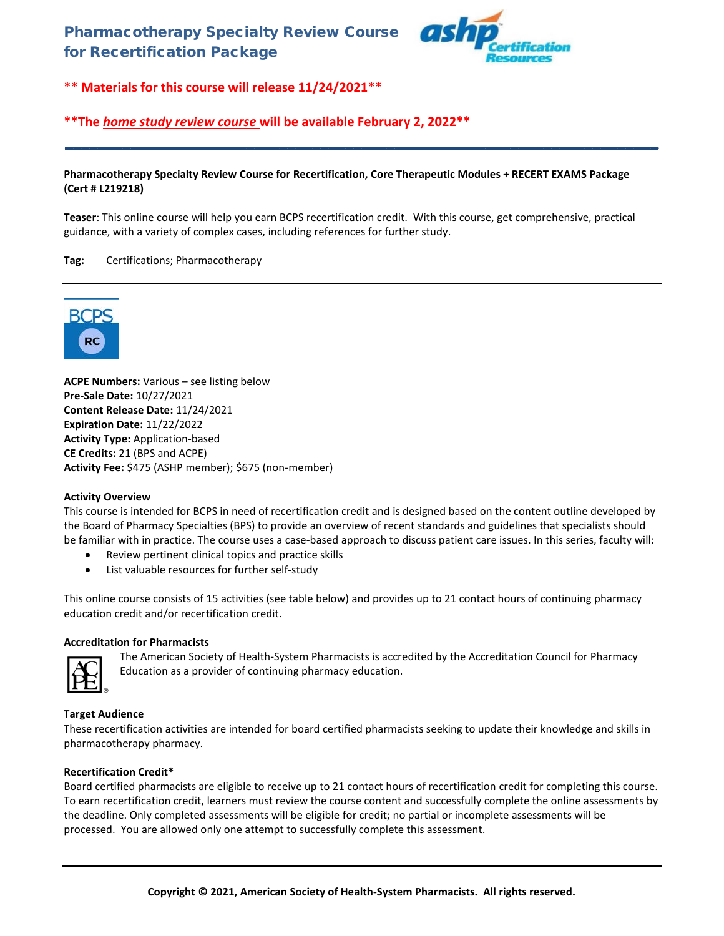

# **\*\*The** *home study review course* **will be available February 2, 2022\*\***

### **Pharmacotherapy Specialty Review Course for Recertification, Core Therapeutic Modules + RECERT EXAMS Package (Cert # L219218)**

**\_\_\_\_\_\_\_\_\_\_\_\_\_\_\_\_\_\_\_\_\_\_\_\_\_\_\_\_\_\_\_\_\_\_\_\_\_\_\_\_\_\_\_\_\_\_\_\_\_\_\_\_\_\_\_\_\_\_\_\_\_\_\_\_\_\_\_\_\_\_\_\_**

**Teaser**: This online course will help you earn BCPS recertification credit. With this course, get comprehensive, practical guidance, with a variety of complex cases, including references for further study.

## **Tag:** Certifications; Pharmacotherapy



**ACPE Numbers:** Various – see listing below **Pre-Sale Date:** 10/27/2021 **Content Release Date:** 11/24/2021 **Expiration Date:** 11/22/2022 **Activity Type:** Application-based **CE Credits:** 21 (BPS and ACPE) **Activity Fee:** \$475 (ASHP member); \$675 (non-member)

## **Activity Overview**

This course is intended for BCPS in need of recertification credit and is designed based on the content outline developed by the Board of Pharmacy Specialties (BPS) to provide an overview of recent standards and guidelines that specialists should be familiar with in practice. The course uses a case-based approach to discuss patient care issues. In this series, faculty will:

- Review pertinent clinical topics and practice skills
- List valuable resources for further self-study

This online course consists of 15 activities (see table below) and provides up to 21 contact hours of continuing pharmacy education credit and/or recertification credit.

## **Accreditation for Pharmacists**



The American Society of Health-System Pharmacists is accredited by the Accreditation Council for Pharmacy Education as a provider of continuing pharmacy education.

## **Target Audience**

These recertification activities are intended for board certified pharmacists seeking to update their knowledge and skills in pharmacotherapy pharmacy.

#### **Recertification Credit\***

Board certified pharmacists are eligible to receive up to 21 contact hours of recertification credit for completing this course. To earn recertification credit, learners must review the course content and successfully complete the online assessments by the deadline. Only completed assessments will be eligible for credit; no partial or incomplete assessments will be processed. You are allowed only one attempt to successfully complete this assessment.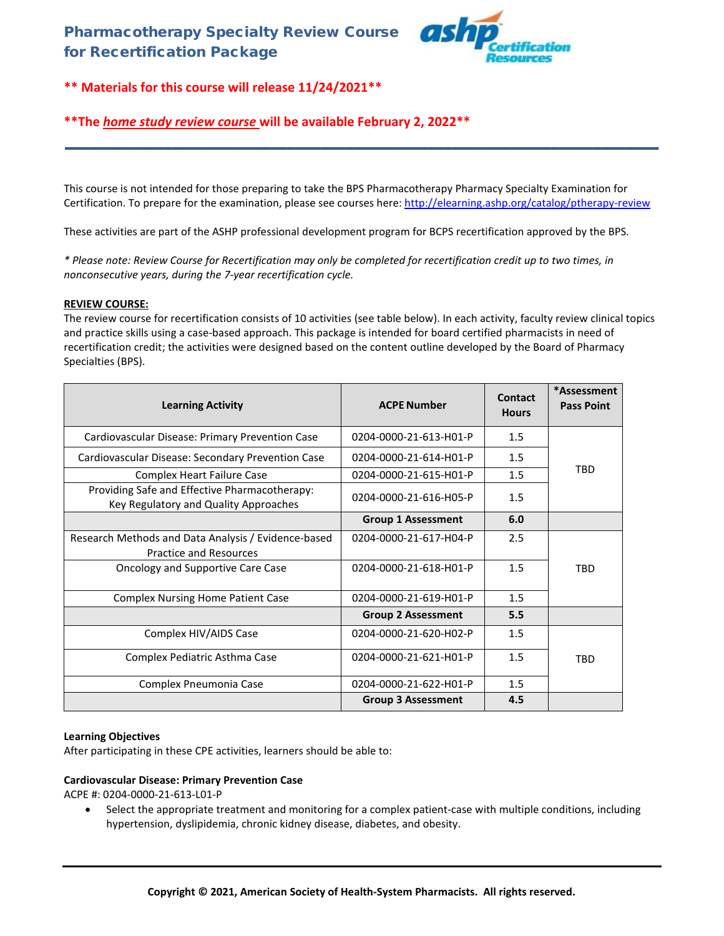

# **\*\*The** *home study review course* **will be available February 2, 2022\*\***

This course is not intended for those preparing to take the BPS Pharmacotherapy Pharmacy Specialty Examination for Certification. To prepare for the examination, please see courses here:<http://elearning.ashp.org/catalog/ptherapy-review>

**\_\_\_\_\_\_\_\_\_\_\_\_\_\_\_\_\_\_\_\_\_\_\_\_\_\_\_\_\_\_\_\_\_\_\_\_\_\_\_\_\_\_\_\_\_\_\_\_\_\_\_\_\_\_\_\_\_\_\_\_\_\_\_\_\_\_\_\_\_\_\_\_**

These activities are part of the ASHP professional development program for BCPS recertification approved by the BPS.

*\* Please note: Review Course for Recertification may only be completed for recertification credit up to two times, in nonconsecutive years, during the 7-year recertification cycle.*

## **REVIEW COURSE:**

The review course for recertification consists of 10 activities (see table below). In each activity, faculty review clinical topics and practice skills using a case-based approach. This package is intended for board certified pharmacists in need of recertification credit; the activities were designed based on the content outline developed by the Board of Pharmacy Specialties (BPS).

| <b>Learning Activity</b>                                                               | <b>ACPE Number</b>        | Contact<br><b>Hours</b> | *Assessment<br><b>Pass Point</b> |
|----------------------------------------------------------------------------------------|---------------------------|-------------------------|----------------------------------|
| Cardiovascular Disease: Primary Prevention Case                                        | 0204-0000-21-613-H01-P    | 1.5                     |                                  |
| Cardiovascular Disease: Secondary Prevention Case                                      | 0204-0000-21-614-H01-P    | 1.5                     |                                  |
| <b>Complex Heart Failure Case</b>                                                      | 0204-0000-21-615-H01-P    | 1.5                     | <b>TRD</b>                       |
| Providing Safe and Effective Pharmacotherapy:<br>Key Regulatory and Quality Approaches | 0204-0000-21-616-H05-P    | 1.5                     |                                  |
|                                                                                        | <b>Group 1 Assessment</b> | 6.0                     |                                  |
| Research Methods and Data Analysis / Evidence-based<br><b>Practice and Resources</b>   | 0204-0000-21-617-H04-P    | 2.5                     |                                  |
| Oncology and Supportive Care Case                                                      | 0204-0000-21-618-H01-P    | 1.5                     | <b>TBD</b>                       |
| <b>Complex Nursing Home Patient Case</b>                                               | 0204-0000-21-619-H01-P    | 1.5                     |                                  |
|                                                                                        | <b>Group 2 Assessment</b> | 5.5                     |                                  |
| Complex HIV/AIDS Case                                                                  | 0204-0000-21-620-H02-P    | 1.5                     |                                  |
| Complex Pediatric Asthma Case                                                          | 0204-0000-21-621-H01-P    | 1.5                     | TRD                              |
| Complex Pneumonia Case                                                                 | 0204-0000-21-622-H01-P    | 1.5                     |                                  |
|                                                                                        | <b>Group 3 Assessment</b> | 4.5                     |                                  |

## **Learning Objectives**

After participating in these CPE activities, learners should be able to:

#### **Cardiovascular Disease: Primary Prevention Case**

ACPE #: 0204-0000-21-613-L01-P

• Select the appropriate treatment and monitoring for a complex patient-case with multiple conditions, including hypertension, dyslipidemia, chronic kidney disease, diabetes, and obesity.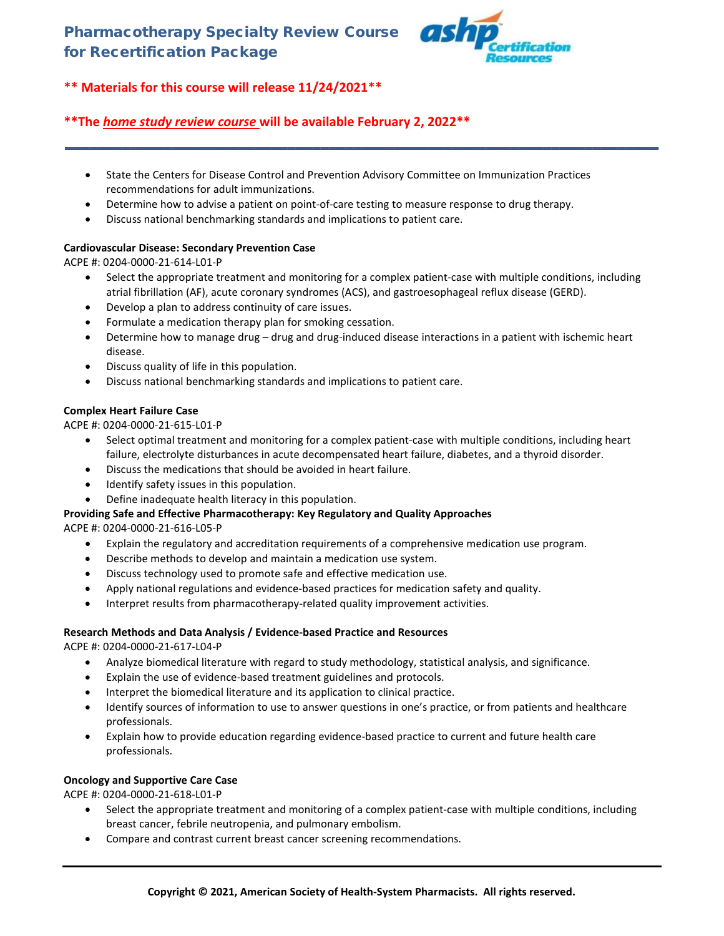

# **\*\*The** *home study review course* **will be available February 2, 2022\*\***

- State the Centers for Disease Control and Prevention Advisory Committee on Immunization Practices recommendations for adult immunizations.
- Determine how to advise a patient on point-of-care testing to measure response to drug therapy.
- Discuss national benchmarking standards and implications to patient care.

# **Cardiovascular Disease: Secondary Prevention Case**

ACPE #: 0204-0000-21-614-L01-P

• Select the appropriate treatment and monitoring for a complex patient-case with multiple conditions, including atrial fibrillation (AF), acute coronary syndromes (ACS), and gastroesophageal reflux disease (GERD).

**\_\_\_\_\_\_\_\_\_\_\_\_\_\_\_\_\_\_\_\_\_\_\_\_\_\_\_\_\_\_\_\_\_\_\_\_\_\_\_\_\_\_\_\_\_\_\_\_\_\_\_\_\_\_\_\_\_\_\_\_\_\_\_\_\_\_\_\_\_\_\_\_**

- Develop a plan to address continuity of care issues.
- Formulate a medication therapy plan for smoking cessation.
- Determine how to manage drug drug and drug-induced disease interactions in a patient with ischemic heart disease.
- Discuss quality of life in this population.
- Discuss national benchmarking standards and implications to patient care.

# **Complex Heart Failure Case**

ACPE #: 0204-0000-21-615-L01-P

- Select optimal treatment and monitoring for a complex patient-case with multiple conditions, including heart failure, electrolyte disturbances in acute decompensated heart failure, diabetes, and a thyroid disorder.
- Discuss the medications that should be avoided in heart failure.
- Identify safety issues in this population.
- Define inadequate health literacy in this population.

# **Providing Safe and Effective Pharmacotherapy: Key Regulatory and Quality Approaches**

ACPE #: 0204-0000-21-616-L05-P

- Explain the regulatory and accreditation requirements of a comprehensive medication use program.
- Describe methods to develop and maintain a medication use system.
- Discuss technology used to promote safe and effective medication use.
- Apply national regulations and evidence-based practices for medication safety and quality.
- Interpret results from pharmacotherapy-related quality improvement activities.

## **Research Methods and Data Analysis / Evidence-based Practice and Resources**

ACPE #: 0204-0000-21-617-L04-P

- Analyze biomedical literature with regard to study methodology, statistical analysis, and significance.
- Explain the use of evidence-based treatment guidelines and protocols.
- Interpret the biomedical literature and its application to clinical practice.
- Identify sources of information to use to answer questions in one's practice, or from patients and healthcare professionals.
- Explain how to provide education regarding evidence-based practice to current and future health care professionals.

## **Oncology and Supportive Care Case**

ACPE #: 0204-0000-21-618-L01-P

- Select the appropriate treatment and monitoring of a complex patient-case with multiple conditions, including breast cancer, febrile neutropenia, and pulmonary embolism.
- Compare and contrast current breast cancer screening recommendations.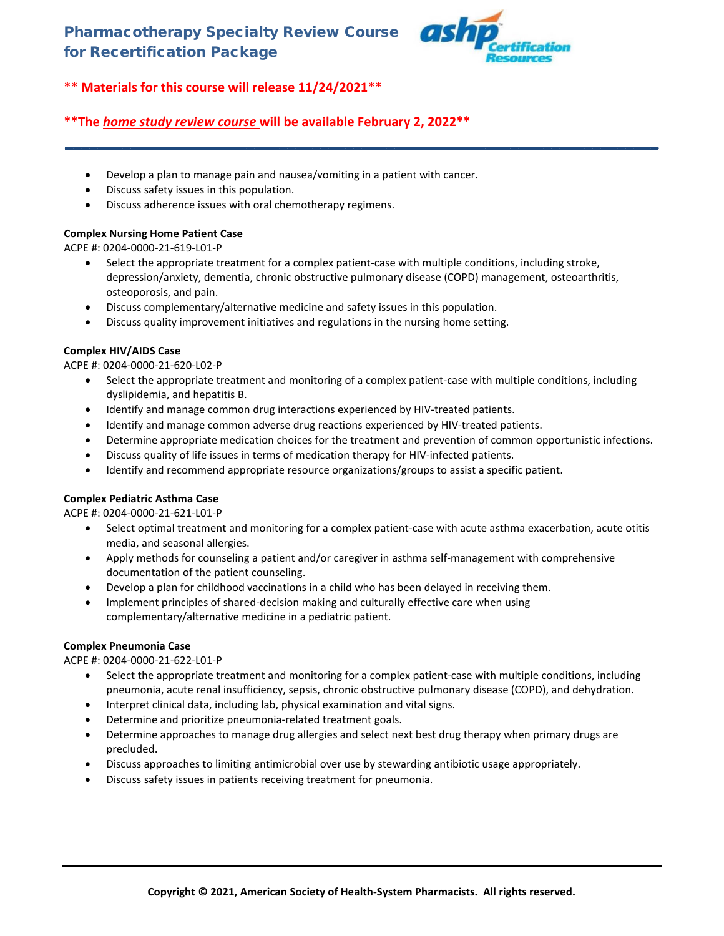

# **\*\*The** *home study review course* **will be available February 2, 2022\*\***

- Develop a plan to manage pain and nausea/vomiting in a patient with cancer.
- Discuss safety issues in this population.
- Discuss adherence issues with oral chemotherapy regimens.

# **Complex Nursing Home Patient Case**

ACPE #: 0204-0000-21-619-L01-P

• Select the appropriate treatment for a complex patient-case with multiple conditions, including stroke, depression/anxiety, dementia, chronic obstructive pulmonary disease (COPD) management, osteoarthritis, osteoporosis, and pain.

**\_\_\_\_\_\_\_\_\_\_\_\_\_\_\_\_\_\_\_\_\_\_\_\_\_\_\_\_\_\_\_\_\_\_\_\_\_\_\_\_\_\_\_\_\_\_\_\_\_\_\_\_\_\_\_\_\_\_\_\_\_\_\_\_\_\_\_\_\_\_\_\_**

- Discuss complementary/alternative medicine and safety issues in this population.
- Discuss quality improvement initiatives and regulations in the nursing home setting.

## **Complex HIV/AIDS Case**

ACPE #: 0204-0000-21-620-L02-P

- Select the appropriate treatment and monitoring of a complex patient-case with multiple conditions, including dyslipidemia, and hepatitis B.
- Identify and manage common drug interactions experienced by HIV-treated patients.
- Identify and manage common adverse drug reactions experienced by HIV-treated patients.
- Determine appropriate medication choices for the treatment and prevention of common opportunistic infections.
- Discuss quality of life issues in terms of medication therapy for HIV-infected patients.
- Identify and recommend appropriate resource organizations/groups to assist a specific patient.

## **Complex Pediatric Asthma Case**

ACPE #: 0204-0000-21-621-L01-P

- Select optimal treatment and monitoring for a complex patient-case with acute asthma exacerbation, acute otitis media, and seasonal allergies.
- Apply methods for counseling a patient and/or caregiver in asthma self-management with comprehensive documentation of the patient counseling.
- Develop a plan for childhood vaccinations in a child who has been delayed in receiving them.
- Implement principles of shared-decision making and culturally effective care when using complementary/alternative medicine in a pediatric patient.

## **Complex Pneumonia Case**

ACPE #: 0204-0000-21-622-L01-P

- Select the appropriate treatment and monitoring for a complex patient-case with multiple conditions, including pneumonia, acute renal insufficiency, sepsis, chronic obstructive pulmonary disease (COPD), and dehydration.
- Interpret clinical data, including lab, physical examination and vital signs.
- Determine and prioritize pneumonia-related treatment goals.
- Determine approaches to manage drug allergies and select next best drug therapy when primary drugs are precluded.
- Discuss approaches to limiting antimicrobial over use by stewarding antibiotic usage appropriately.
- Discuss safety issues in patients receiving treatment for pneumonia.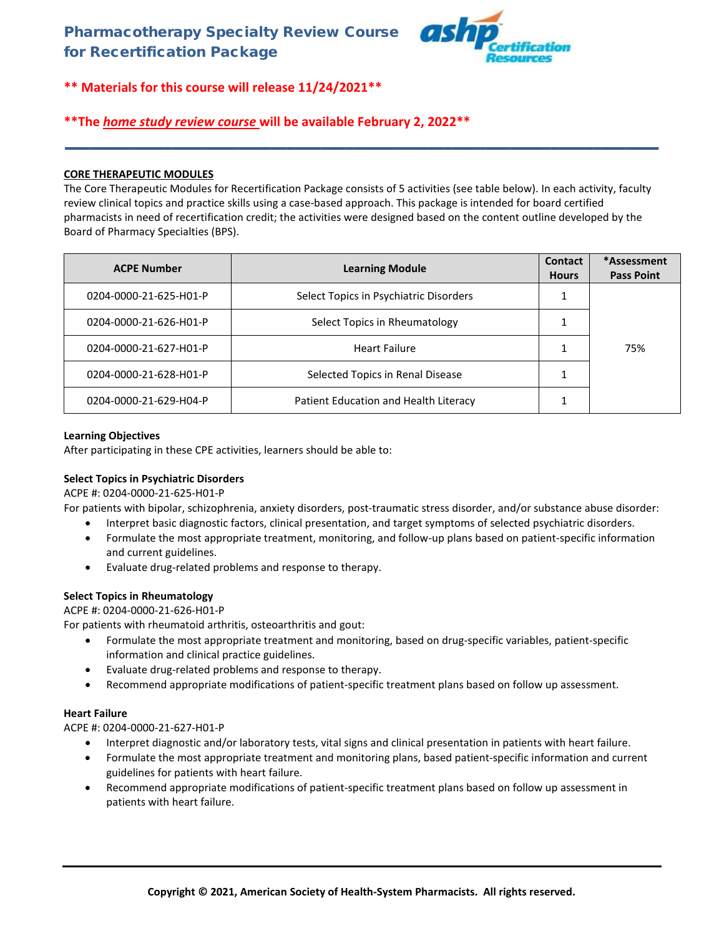

# **\*\*The** *home study review course* **will be available February 2, 2022\*\***

# **CORE THERAPEUTIC MODULES**

The Core Therapeutic Modules for Recertification Package consists of 5 activities (see table below). In each activity, faculty review clinical topics and practice skills using a case-based approach. This package is intended for board certified pharmacists in need of recertification credit; the activities were designed based on the content outline developed by the Board of Pharmacy Specialties (BPS).

**\_\_\_\_\_\_\_\_\_\_\_\_\_\_\_\_\_\_\_\_\_\_\_\_\_\_\_\_\_\_\_\_\_\_\_\_\_\_\_\_\_\_\_\_\_\_\_\_\_\_\_\_\_\_\_\_\_\_\_\_\_\_\_\_\_\_\_\_\_\_\_\_**

| <b>ACPE Number</b>     | <b>Learning Module</b>                 | <b>Contact</b><br><b>Hours</b> | *Assessment<br><b>Pass Point</b> |
|------------------------|----------------------------------------|--------------------------------|----------------------------------|
| 0204-0000-21-625-H01-P | Select Topics in Psychiatric Disorders |                                |                                  |
| 0204-0000-21-626-H01-P | Select Topics in Rheumatology          |                                |                                  |
| 0204-0000-21-627-H01-P | <b>Heart Failure</b>                   |                                | 75%                              |
| 0204-0000-21-628-H01-P | Selected Topics in Renal Disease       |                                |                                  |
| 0204-0000-21-629-H04-P | Patient Education and Health Literacy  |                                |                                  |

## **Learning Objectives**

After participating in these CPE activities, learners should be able to:

## **Select Topics in Psychiatric Disorders**

ACPE #: 0204-0000-21-625-H01-P

For patients with bipolar, schizophrenia, anxiety disorders, post-traumatic stress disorder, and/or substance abuse disorder:

- Interpret basic diagnostic factors, clinical presentation, and target symptoms of selected psychiatric disorders.
- Formulate the most appropriate treatment, monitoring, and follow-up plans based on patient-specific information and current guidelines.
- Evaluate drug-related problems and response to therapy.

## **Select Topics in Rheumatology**

ACPE #: 0204-0000-21-626-H01-P

For patients with rheumatoid arthritis, osteoarthritis and gout:

- Formulate the most appropriate treatment and monitoring, based on drug-specific variables, patient-specific information and clinical practice guidelines.
- Evaluate drug-related problems and response to therapy.
- Recommend appropriate modifications of patient-specific treatment plans based on follow up assessment.

## **Heart Failure**

ACPE #: 0204-0000-21-627-H01-P

- Interpret diagnostic and/or laboratory tests, vital signs and clinical presentation in patients with heart failure.
- Formulate the most appropriate treatment and monitoring plans, based patient-specific information and current guidelines for patients with heart failure.
- Recommend appropriate modifications of patient-specific treatment plans based on follow up assessment in patients with heart failure.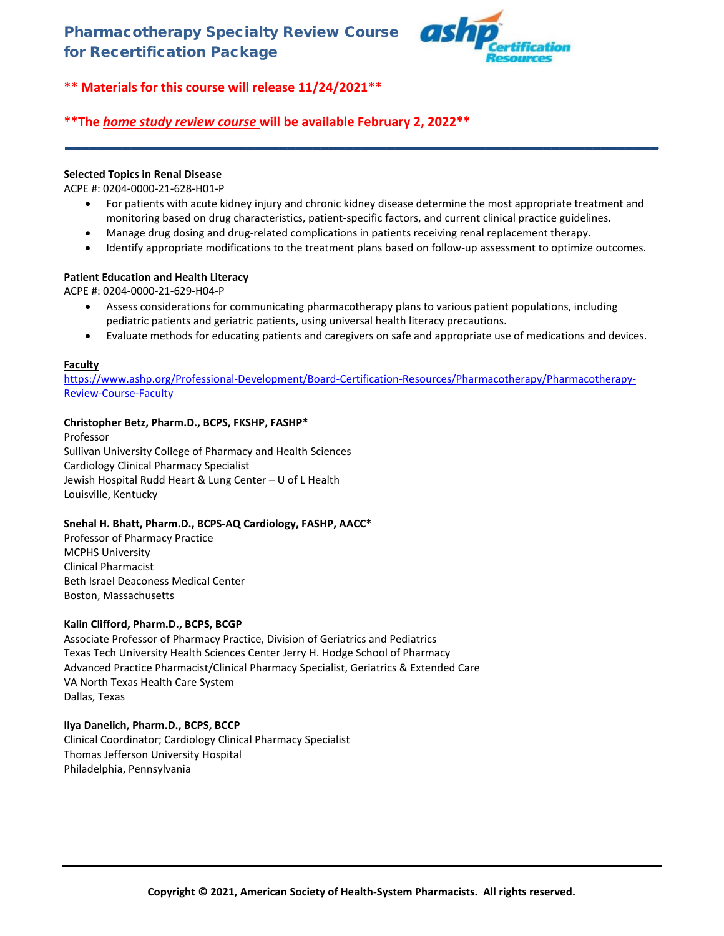

# **\*\*The** *home study review course* **will be available February 2, 2022\*\***

## **Selected Topics in Renal Disease**

ACPE #: 0204-0000-21-628-H01-P

• For patients with acute kidney injury and chronic kidney disease determine the most appropriate treatment and monitoring based on drug characteristics, patient-specific factors, and current clinical practice guidelines.

**\_\_\_\_\_\_\_\_\_\_\_\_\_\_\_\_\_\_\_\_\_\_\_\_\_\_\_\_\_\_\_\_\_\_\_\_\_\_\_\_\_\_\_\_\_\_\_\_\_\_\_\_\_\_\_\_\_\_\_\_\_\_\_\_\_\_\_\_\_\_\_\_**

- Manage drug dosing and drug-related complications in patients receiving renal replacement therapy.
- Identify appropriate modifications to the treatment plans based on follow-up assessment to optimize outcomes.

# **Patient Education and Health Literacy**

ACPE #: 0204-0000-21-629-H04-P

- Assess considerations for communicating pharmacotherapy plans to various patient populations, including pediatric patients and geriatric patients, using universal health literacy precautions.
- Evaluate methods for educating patients and caregivers on safe and appropriate use of medications and devices.

# **Faculty**

[https://www.ashp.org/Professional-Development/Board-Certification-Resources/Pharmacotherapy/Pharmacotherapy-](https://www.ashp.org/Professional-Development/Board-Certification-Resources/Pharmacotherapy/Pharmacotherapy-Review-Course-Faculty)[Review-Course-Faculty](https://www.ashp.org/Professional-Development/Board-Certification-Resources/Pharmacotherapy/Pharmacotherapy-Review-Course-Faculty)

## **Christopher Betz, Pharm.D., BCPS, FKSHP, FASHP\***

Professor Sullivan University College of Pharmacy and Health Sciences Cardiology Clinical Pharmacy Specialist Jewish Hospital Rudd Heart & Lung Center – U of L Health Louisville, Kentucky

## **Snehal H. Bhatt, Pharm.D., BCPS-AQ Cardiology, FASHP, AACC\***

Professor of Pharmacy Practice MCPHS University Clinical Pharmacist Beth Israel Deaconess Medical Center Boston, Massachusetts

## **Kalin Clifford, Pharm.D., BCPS, BCGP**

Associate Professor of Pharmacy Practice, Division of Geriatrics and Pediatrics Texas Tech University Health Sciences Center Jerry H. Hodge School of Pharmacy Advanced Practice Pharmacist/Clinical Pharmacy Specialist, Geriatrics & Extended Care VA North Texas Health Care System Dallas, Texas

## **Ilya Danelich, Pharm.D., BCPS, BCCP**

Clinical Coordinator; Cardiology Clinical Pharmacy Specialist Thomas Jefferson University Hospital Philadelphia, Pennsylvania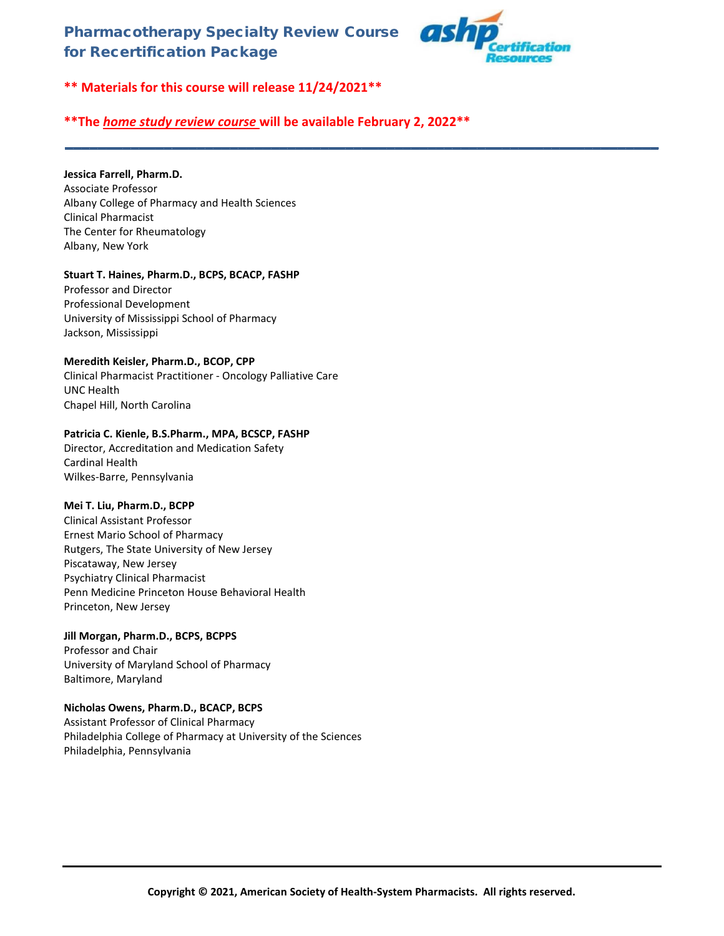

**\*\* Materials for this course will release 11/24/2021\*\***

# **\*\*The** *home study review course* **will be available February 2, 2022\*\***

**\_\_\_\_\_\_\_\_\_\_\_\_\_\_\_\_\_\_\_\_\_\_\_\_\_\_\_\_\_\_\_\_\_\_\_\_\_\_\_\_\_\_\_\_\_\_\_\_\_\_\_\_\_\_\_\_\_\_\_\_\_\_\_\_\_\_\_\_\_\_\_\_**

# **Jessica Farrell, Pharm.D.**

Associate Professor Albany College of Pharmacy and Health Sciences Clinical Pharmacist The Center for Rheumatology Albany, New York

# **Stuart T. Haines, Pharm.D., BCPS, BCACP, FASHP**

Professor and Director Professional Development University of Mississippi School of Pharmacy Jackson, Mississippi

# **Meredith Keisler, Pharm.D., BCOP, CPP**

Clinical Pharmacist Practitioner - Oncology Palliative Care UNC Health Chapel Hill, North Carolina

# **Patricia C. Kienle, B.S.Pharm., MPA, BCSCP, FASHP**

Director, Accreditation and Medication Safety Cardinal Health Wilkes-Barre, Pennsylvania

# **Mei T. Liu, Pharm.D., BCPP**

Clinical Assistant Professor Ernest Mario School of Pharmacy Rutgers, The State University of New Jersey Piscataway, New Jersey Psychiatry Clinical Pharmacist Penn Medicine Princeton House Behavioral Health Princeton, New Jersey

**Jill Morgan, Pharm.D., BCPS, BCPPS** Professor and Chair University of Maryland School of Pharmacy Baltimore, Maryland

# **Nicholas Owens, Pharm.D., BCACP, BCPS**

Assistant Professor of Clinical Pharmacy Philadelphia College of Pharmacy at University of the Sciences Philadelphia, Pennsylvania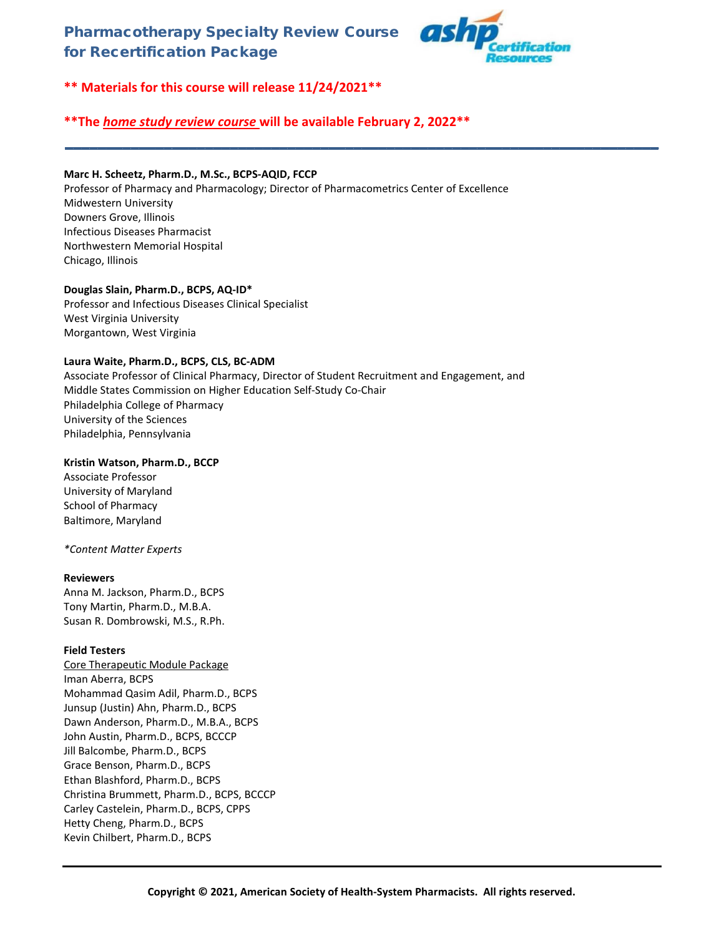

**\*\* Materials for this course will release 11/24/2021\*\***

# **\*\*The** *home study review course* **will be available February 2, 2022\*\***

# **Marc H. Scheetz, Pharm.D., M.Sc., BCPS-AQID, FCCP**

Professor of Pharmacy and Pharmacology; Director of Pharmacometrics Center of Excellence Midwestern University Downers Grove, Illinois Infectious Diseases Pharmacist Northwestern Memorial Hospital Chicago, Illinois

**\_\_\_\_\_\_\_\_\_\_\_\_\_\_\_\_\_\_\_\_\_\_\_\_\_\_\_\_\_\_\_\_\_\_\_\_\_\_\_\_\_\_\_\_\_\_\_\_\_\_\_\_\_\_\_\_\_\_\_\_\_\_\_\_\_\_\_\_\_\_\_\_**

## **Douglas Slain, Pharm.D., BCPS, AQ-ID\***

Professor and Infectious Diseases Clinical Specialist West Virginia University Morgantown, West Virginia

## **Laura Waite, Pharm.D., BCPS, CLS, BC-ADM**

Associate Professor of Clinical Pharmacy, Director of Student Recruitment and Engagement, and Middle States Commission on Higher Education Self-Study Co-Chair Philadelphia College of Pharmacy University of the Sciences Philadelphia, Pennsylvania

# **Kristin Watson, Pharm.D., BCCP**

Associate Professor University of Maryland School of Pharmacy Baltimore, Maryland

## *\*Content Matter Experts*

## **Reviewers**

Anna M. Jackson, Pharm.D., BCPS Tony Martin, Pharm.D., M.B.A. Susan R. Dombrowski, M.S., R.Ph.

# **Field Testers**

Core Therapeutic Module Package Iman Aberra, BCPS Mohammad Qasim Adil, Pharm.D., BCPS Junsup (Justin) Ahn, Pharm.D., BCPS Dawn Anderson, Pharm.D., M.B.A., BCPS John Austin, Pharm.D., BCPS, BCCCP Jill Balcombe, Pharm.D., BCPS Grace Benson, Pharm.D., BCPS Ethan Blashford, Pharm.D., BCPS Christina Brummett, Pharm.D., BCPS, BCCCP Carley Castelein, Pharm.D., BCPS, CPPS Hetty Cheng, Pharm.D., BCPS Kevin Chilbert, Pharm.D., BCPS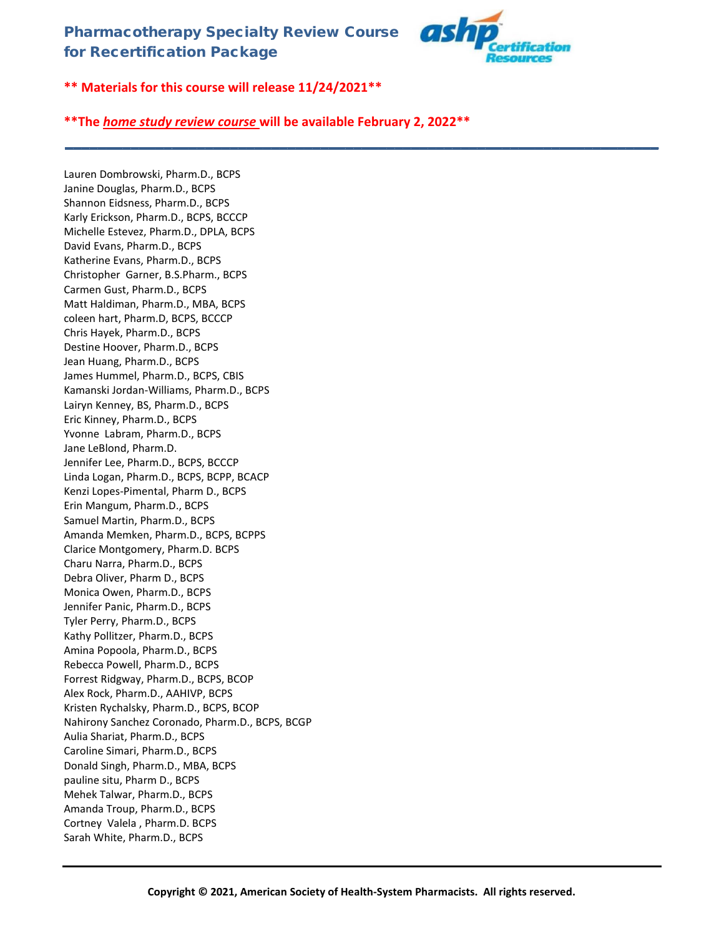

**\*\* Materials for this course will release 11/24/2021\*\***

# **\*\*The** *home study review course* **will be available February 2, 2022\*\***

**\_\_\_\_\_\_\_\_\_\_\_\_\_\_\_\_\_\_\_\_\_\_\_\_\_\_\_\_\_\_\_\_\_\_\_\_\_\_\_\_\_\_\_\_\_\_\_\_\_\_\_\_\_\_\_\_\_\_\_\_\_\_\_\_\_\_\_\_\_\_\_\_**

Lauren Dombrowski, Pharm.D., BCPS Janine Douglas, Pharm.D., BCPS Shannon Eidsness, Pharm.D., BCPS Karly Erickson, Pharm.D., BCPS, BCCCP Michelle Estevez, Pharm.D., DPLA, BCPS David Evans, Pharm.D., BCPS Katherine Evans, Pharm.D., BCPS Christopher Garner, B.S.Pharm., BCPS Carmen Gust, Pharm.D., BCPS Matt Haldiman, Pharm.D., MBA, BCPS coleen hart, Pharm.D, BCPS, BCCCP Chris Hayek, Pharm.D., BCPS Destine Hoover, Pharm.D., BCPS Jean Huang, Pharm.D., BCPS James Hummel, Pharm.D., BCPS, CBIS Kamanski Jordan-Williams, Pharm.D., BCPS Lairyn Kenney, BS, Pharm.D., BCPS Eric Kinney, Pharm.D., BCPS Yvonne Labram, Pharm.D., BCPS Jane LeBlond, Pharm.D. Jennifer Lee, Pharm.D., BCPS, BCCCP Linda Logan, Pharm.D., BCPS, BCPP, BCACP Kenzi Lopes-Pimental, Pharm D., BCPS Erin Mangum, Pharm.D., BCPS Samuel Martin, Pharm.D., BCPS Amanda Memken, Pharm.D., BCPS, BCPPS Clarice Montgomery, Pharm.D. BCPS Charu Narra, Pharm.D., BCPS Debra Oliver, Pharm D., BCPS Monica Owen, Pharm.D., BCPS Jennifer Panic, Pharm.D., BCPS Tyler Perry, Pharm.D., BCPS Kathy Pollitzer, Pharm.D., BCPS Amina Popoola, Pharm.D., BCPS Rebecca Powell, Pharm.D., BCPS Forrest Ridgway, Pharm.D., BCPS, BCOP Alex Rock, Pharm.D., AAHIVP, BCPS Kristen Rychalsky, Pharm.D., BCPS, BCOP Nahirony Sanchez Coronado, Pharm.D., BCPS, BCGP Aulia Shariat, Pharm.D., BCPS Caroline Simari, Pharm.D., BCPS Donald Singh, Pharm.D., MBA, BCPS pauline situ, Pharm D., BCPS Mehek Talwar, Pharm.D., BCPS Amanda Troup, Pharm.D., BCPS Cortney Valela , Pharm.D. BCPS Sarah White, Pharm.D., BCPS